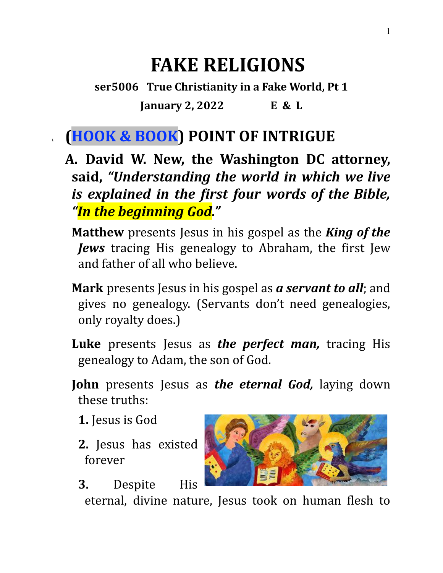# **FAKE RELIGIONS**

**ser5006 True Christianity in a Fake World, Pt 1 January 2, 2022 E & L**

## **I. (HOOK & BOOK) POINT OF INTRIGUE**

- **A. David W. New, the Washington DC attorney, said,** *"Understanding the world in which we live is explained in the first four words of the Bible, "In the beginning God."*
	- **Matthew** presents Jesus in his gospel as the *King of the Jews* tracing His genealogy to Abraham, the first Jew and father of all who believe.
	- **Mark** presents Jesus in his gospel as *a servant to all*; and gives no genealogy. (Servants don't need genealogies, only royalty does.)
	- **Luke** presents Jesus as *the perfect man,* tracing His genealogy to Adam, the son of God.
	- **John** presents Jesus as *the eternal God,* laying down these truths:
		- **1.** Jesus is God
		- **2.** Jesus has existed forever
		- **3.** Despite His

eternal, divine nature, Jesus took on human flesh to

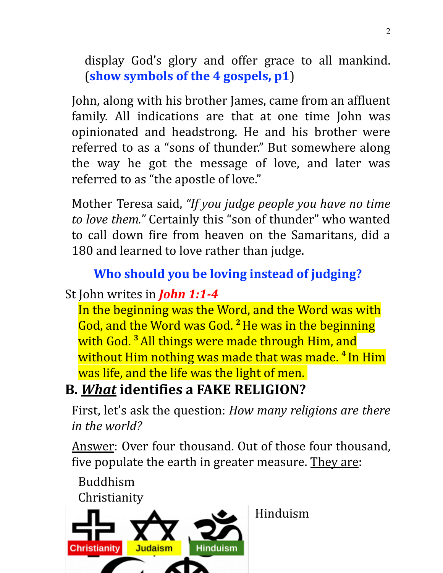display God's glory and offer grace to all mankind. (**show symbols of the 4 gospels, p1**)

John, along with his brother James, came from an affluent family. All indications are that at one time John was opinionated and headstrong. He and his brother were referred to as a "sons of thunder." But somewhere along the way he got the message of love, and later was referred to as "the apostle of love."

Mother Teresa said, *"If you judge people you have no time to love them."* Certainly this "son of thunder" who wanted to call down fire from heaven on the Samaritans, did a 180 and learned to love rather than judge.

## **Who should you be loving instead of judging?**

## St John writes in *John 1:1-4*

In the beginning was the Word, and the Word was with God, and the Word was God. **<sup>2</sup>**He was in the beginning with God. **<sup>3</sup>**All things were made through Him, and without Him nothing was made that was made. **<sup>4</sup>** In Him was life, and the life was the light of men.

# **B.** *What* **identifies a FAKE RELIGION?**

First, let's ask the question: *How many religions are there in the world?*

Answer: Over four thousand. Out of those four thousand, five populate the earth in greater measure. They are:

Buddhism Christianity



Hinduism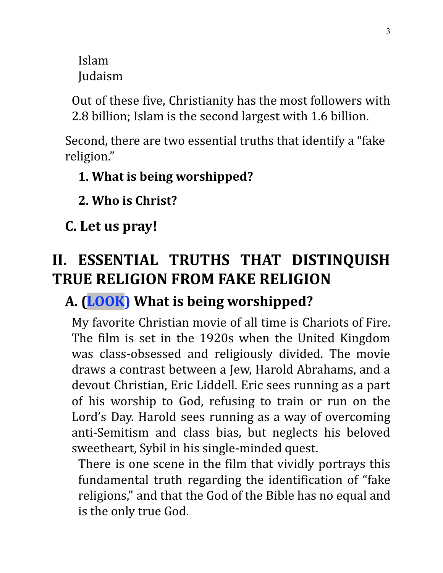Islam Judaism

Out of these five, Christianity has the most followers with 2.8 billion; Islam is the second largest with 1.6 billion.

Second, there are two essential truths that identify a "fake religion."

### **1. What is being worshipped?**

**2. Who is Christ?**

**C. Let us pray!**

# **II. ESSENTIAL TRUTHS THAT DISTINQUISH TRUE RELIGION FROM FAKE RELIGION**

## **A. (LOOK) What is being worshipped?**

My favorite Christian movie of all time is Chariots of Fire. The film is set in the 1920s when the United Kingdom was class-obsessed and religiously divided. The movie draws a contrast between a Jew, Harold Abrahams, and a devout Christian, Eric Liddell. Eric sees running as a part of his worship to God, refusing to train or run on the Lord's Day. Harold sees running as a way of overcoming anti-Semitism and class bias, but neglects his beloved sweetheart, Sybil in his single-minded quest.

There is one scene in the film that vividly portrays this fundamental truth regarding the identification of "fake religions," and that the God of the Bible has no equal and is the only true God.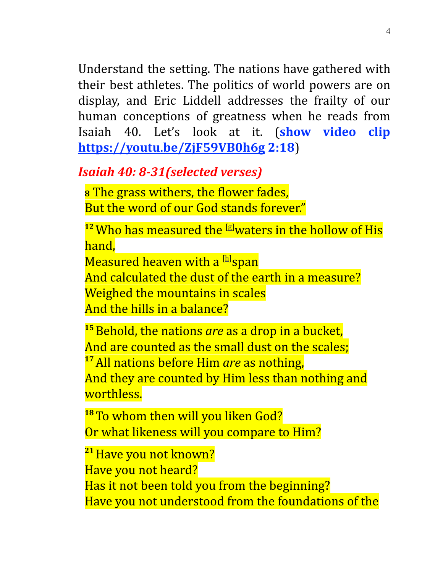Understand the setting. The nations have gathered with their best athletes. The politics of world powers are on display, and Eric Liddell addresses the frailty of our human conceptions of greatness when he reads from Isaiah 40. Let's look at it. (**show video clip <https://youtu.be/ZjF59VB0h6g> 2:18**)

### *Isaiah 40: 8-31(selected verses)*

**<sup>8</sup>** The grass withers, the flower fades, But the word of our God stands forever."

<sup>12</sup> Who has measured the <sup>[\[g\]](https://www.biblegateway.com/passage/?search=Isaiah%2040&version=NKJV#fen-NKJV-18433g)</sup>waters in the hollow of His hand,

Measured heaven with a [[h\]](https://www.biblegateway.com/passage/?search=Isaiah%2040&version=NKJV#fen-NKJV-18433h)span

And calculated the dust of the earth in a measure? Weighed the mountains in scales And the hills in a balance?

**<sup>15</sup>**Behold, the nations *are* as a drop in a bucket, And are counted as the small dust on the scales; **<sup>17</sup>**All nations before Him *are* as nothing, And they are counted by Him less than nothing and worthless.

**<sup>18</sup>** To whom then will you liken God? Or what likeness will you compare to Him?

**<sup>21</sup>**Have you not known? Have you not heard? Has it not been told you from the beginning? Have you not understood from the foundations of the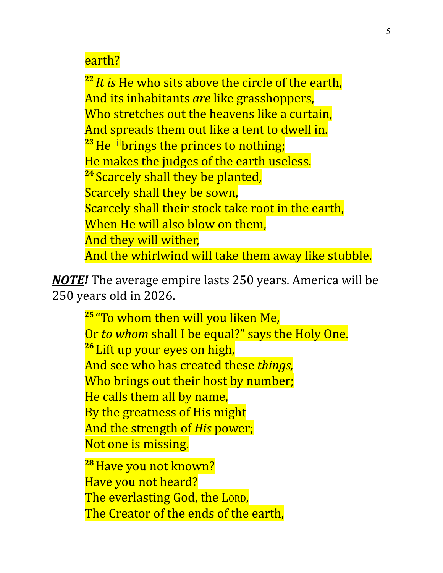#### earth?

**22** *It is* He who sits above the circle of the earth, And its inhabitants *are* like grasshoppers, Who stretches out the heavens like a curtain, And spreads them out like a tent to dwell in. <sup>23</sup> He <sup>[i]</sup>brings the princes to nothing; He makes the judges of the earth useless. <sup>24</sup> Scarcely shall they be planted, Scarcely shall they be sown, Scarcely shall their stock take root in the earth, When He will also blow on them, And they will wither, And the whirlwind will take them away like stubble.

*NOTE!* The average empire lasts 250 years. America will be 250 years old in 2026.

> **25** "To whom then will you liken Me, Or *to whom* shall I be equal?" says the Holy One. **<sup>26</sup>** Lift up your eyes on high, And see who has created these *things,* Who brings out their host by number; He calls them all by name, By the greatness of His might And the strength of *His* power; Not one is missing.

**<sup>28</sup>**Have you not known? Have you not heard? The everlasting God, the LORD, The Creator of the ends of the earth,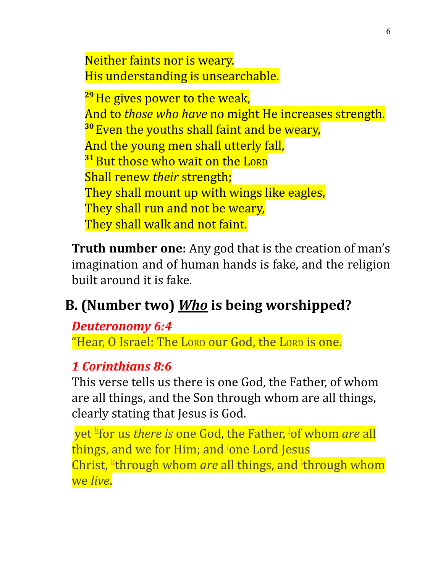Neither faints nor is weary. His understanding is unsearchable.

**<sup>29</sup>**He gives power to the weak, And to *those who have* no might He increases strength. **<sup>30</sup>** Even the youths shall faint and be weary, And the young men shall utterly fall, **<sup>31</sup>**But those who wait on the LORD Shall renew *their* strength; They shall mount up with wings like eagles, They shall run and not be weary, They shall walk and not faint.

**Truth number one:** Any god that is the creation of man's imagination and of human hands is fake, and the religion built around it is fake.

## **B. (Number two)** *Who* **is being worshipped?**

#### *Deuteronomy 6:4*

"Hear, O Israel: The LORD our God, the LORD is one.

### *1 Corinthians 8:6*

This verse tells us there is one God, the Father, of whom are all things, and the Son through whom are all things, clearly stating that Jesus is God.

yet [h](https://biblia.com/bible/nkjv/1-corinthians/8/6#footnote1) for us *there is* one God, the Father, [i](https://biblia.com/bible/nkjv/1-corinthians/8/6#footnote2)of whom *are* all things, and we for Him; and <sup>[j](https://biblia.com/bible/nkjv/1-corinthians/8/6#footnote3)</sup>one Lord Jesus Christ, <sup>[k](https://biblia.com/bible/nkjv/1-corinthians/8/6#footnote4)</sup>through whom *are* a[l](https://biblia.com/bible/nkjv/1-corinthians/8/6#footnote5)l things, and <sup>l</sup>through whom we *live*.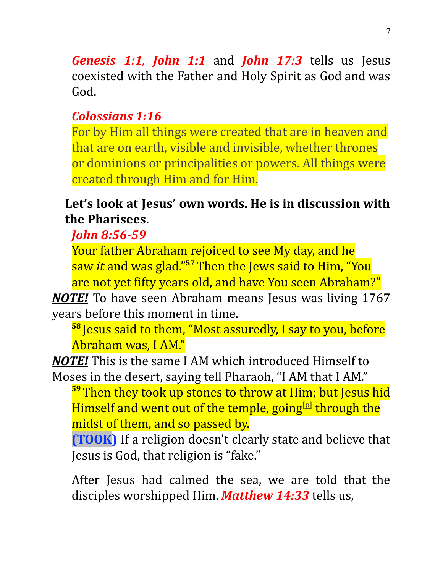*Genesis 1:1, John 1:1* and *John 17:3* tells us Jesus coexisted with the Father and Holy Spirit as God and was God.

### *Colossians 1:16*

For by Him all things were created that are in heaven and that are on earth, visible and invisible, whether thrones or dominions or principalities or powers. All things were created through Him and for Him.

### **Let's look at Jesus' own words. He is in discussion with the Pharisees.**

*John 8:56-59*

Your father Abraham rejoiced to see My day, and he saw *it* and was glad." **<sup>57</sup>** Then the Jews said to Him, "You are not yet fifty years old, and have You seen Abraham?"

*NOTE!* To have seen Abraham means Jesus was living 1767 years before this moment in time.

**58** Jesus said to them, "Most assuredly, I say to you, before Abraham was, I AM."

*NOTE!* This is the same I AM which introduced Himself to Moses in the desert, saying tell Pharaoh, "I AM that I AM."

**<sup>59</sup>** Then they took up stones to throw at Him; but Jesus hid Himself and went out of the temple, going<sup>[[p\]](https://www.biblegateway.com/passage/?search=John+8&version=NKJV#fen-NKJV-26441p)</sup> through the midst of them, and so passed by.

**(TOOK)** If a religion doesn't clearly state and believe that Jesus is God, that religion is "fake."

After Jesus had calmed the sea, we are told that the disciples worshipped Him. *Matthew 14:33* tells us,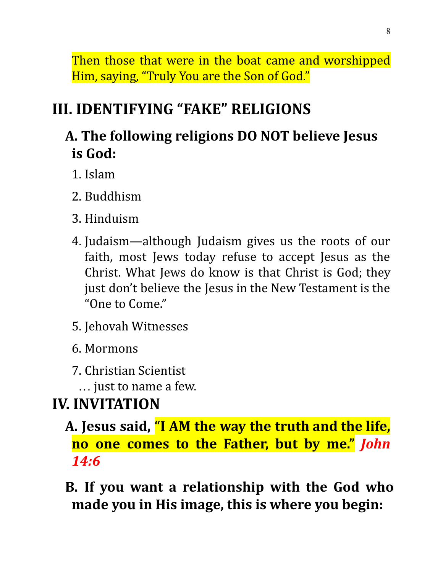Then those that were in the boat came and worshipped Him, saying, "Truly You are the Son of God."

# **III. IDENTIFYING "FAKE" RELIGIONS**

# **A. The following religions DO NOT believe Jesus is God:**

- 1. Islam
- 2. Buddhism
- 3. Hinduism
- 4. Judaism—although Judaism gives us the roots of our faith, most Jews today refuse to accept Jesus as the Christ. What Jews do know is that Christ is God; they just don't believe the Jesus in the New Testament is the "One to Come."
- 5. Jehovah Witnesses
- 6. Mormons
- 7. Christian Scientist
	- … just to name a few.

# **IV. INVITATION**

- **A. Jesus said, "I AM the way the truth and the life, no one comes to the Father, but by me."** *John 14:6*
- **B. If you want a relationship with the God who made you in His image, this is where you begin:**